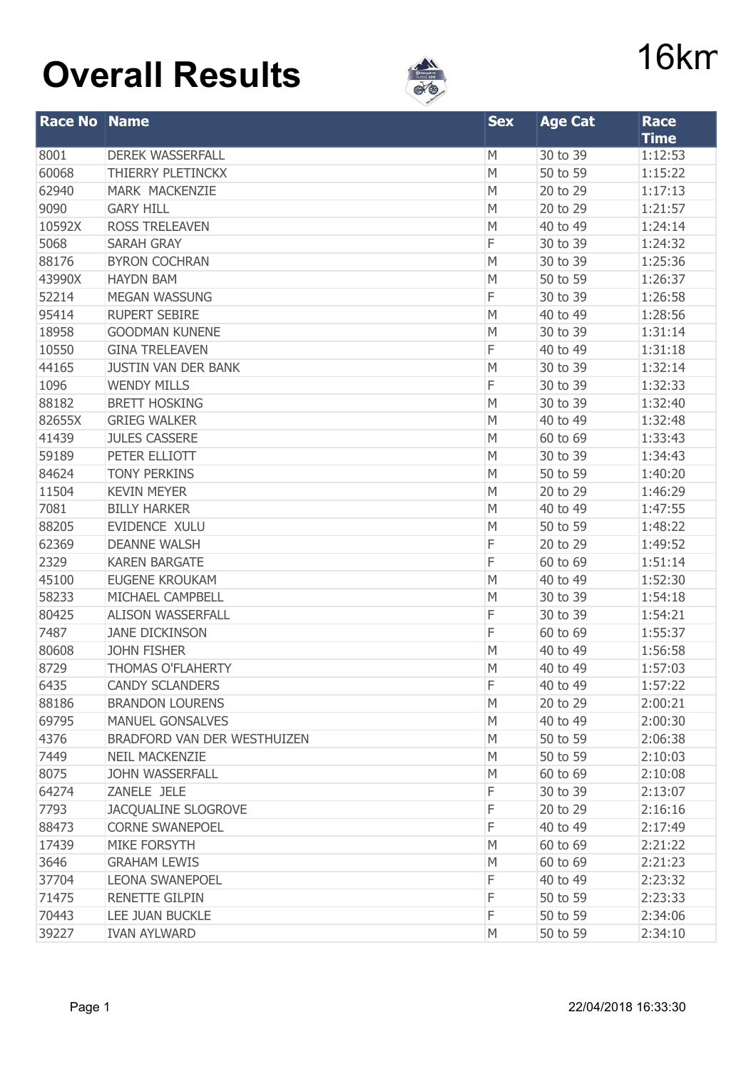## **Overall Results 16km**



| <b>Race No Name</b> |                             | <b>Sex</b> | <b>Age Cat</b> | <b>Race</b>            |  |
|---------------------|-----------------------------|------------|----------------|------------------------|--|
| 8001                | <b>DEREK WASSERFALL</b>     | M          | 30 to 39       | <b>Time</b><br>1:12:53 |  |
| 60068               | THIERRY PLETINCKX           | M          | 50 to 59       | 1:15:22                |  |
| 62940               | MARK MACKENZIE              | M          | 20 to 29       | 1:17:13                |  |
| 9090                | <b>GARY HILL</b>            | M          | 20 to 29       | 1:21:57                |  |
| 10592X              | <b>ROSS TRELEAVEN</b>       | M          | 40 to 49       | 1:24:14                |  |
| 5068                | <b>SARAH GRAY</b>           | F          | 30 to 39       | 1:24:32                |  |
| 88176               | <b>BYRON COCHRAN</b>        | M          | 30 to 39       | 1:25:36                |  |
| 43990X              | <b>HAYDN BAM</b>            | M          | 50 to 59       | 1:26:37                |  |
| 52214               | <b>MEGAN WASSUNG</b>        | F          | 30 to 39       | 1:26:58                |  |
| 95414               | <b>RUPERT SEBIRE</b>        | M          | 40 to 49       | 1:28:56                |  |
| 18958               | <b>GOODMAN KUNENE</b>       | M          | 30 to 39       | 1:31:14                |  |
| 10550               | <b>GINA TRELEAVEN</b>       | F          | 40 to 49       | 1:31:18                |  |
| 44165               | <b>JUSTIN VAN DER BANK</b>  | M          | 30 to 39       | 1:32:14                |  |
| 1096                | <b>WENDY MILLS</b>          | F          | 30 to 39       | 1:32:33                |  |
| 88182               | <b>BRETT HOSKING</b>        | M          | 30 to 39       | 1:32:40                |  |
| 82655X              | <b>GRIEG WALKER</b>         | M          | 40 to 49       | 1:32:48                |  |
| 41439               | <b>JULES CASSERE</b>        | M          | 60 to 69       | 1:33:43                |  |
| 59189               | PETER ELLIOTT               | M          | 30 to 39       | 1:34:43                |  |
| 84624               | <b>TONY PERKINS</b>         | M          | 50 to 59       | 1:40:20                |  |
| 11504               | <b>KEVIN MEYER</b>          | M          | 20 to 29       | 1:46:29                |  |
| 7081                | <b>BILLY HARKER</b>         | M          | 40 to 49       | 1:47:55                |  |
| 88205               | EVIDENCE XULU               | M          | 50 to 59       | 1:48:22                |  |
| 62369               | <b>DEANNE WALSH</b>         | F          | 20 to 29       | 1:49:52                |  |
| 2329                | <b>KAREN BARGATE</b>        | F          | 60 to 69       | 1:51:14                |  |
| 45100               | <b>EUGENE KROUKAM</b>       | M          | 40 to 49       | 1:52:30                |  |
| 58233               | MICHAEL CAMPBELL            | M          | 30 to 39       | 1:54:18                |  |
| 80425               | <b>ALISON WASSERFALL</b>    | F          | 30 to 39       | 1:54:21                |  |
| 7487                | <b>JANE DICKINSON</b>       | F          | 60 to 69       | 1:55:37                |  |
| 80608               | <b>JOHN FISHER</b>          | M          | 40 to 49       | 1:56:58                |  |
| 8729                | <b>THOMAS O'FLAHERTY</b>    | M          | 40 to 49       | 1:57:03                |  |
| 6435                | <b>CANDY SCLANDERS</b>      | F          | 40 to 49       | 1:57:22                |  |
| 88186               | <b>BRANDON LOURENS</b>      | M          | 20 to 29       | 2:00:21                |  |
| 69795               | <b>MANUEL GONSALVES</b>     | M          | 40 to 49       | 2:00:30                |  |
| 4376                | BRADFORD VAN DER WESTHUIZEN | M          | 50 to 59       | 2:06:38                |  |
| 7449                | <b>NEIL MACKENZIE</b>       | M          | 50 to 59       | 2:10:03                |  |
| 8075                | <b>JOHN WASSERFALL</b>      | M          | 60 to 69       | 2:10:08                |  |
| 64274               | ZANELE JELE                 | F          | 30 to 39       | 2:13:07                |  |
| 7793                | <b>JACQUALINE SLOGROVE</b>  | F          | 20 to 29       | 2:16:16                |  |
| 88473               | <b>CORNE SWANEPOEL</b>      | F          | 40 to 49       | 2:17:49                |  |
| 17439               | <b>MIKE FORSYTH</b>         | M          | 60 to 69       | 2:21:22                |  |
| 3646                | <b>GRAHAM LEWIS</b>         | M          | 60 to 69       | 2:21:23                |  |
| 37704               | <b>LEONA SWANEPOEL</b>      | F          | 40 to 49       | 2:23:32                |  |
| 71475               | <b>RENETTE GILPIN</b>       | F          | 50 to 59       | 2:23:33                |  |
| 70443               | LEE JUAN BUCKLE             | F          | 50 to 59       | 2:34:06                |  |
| 39227               | <b>IVAN AYLWARD</b>         | M          | 50 to 59       | 2:34:10                |  |